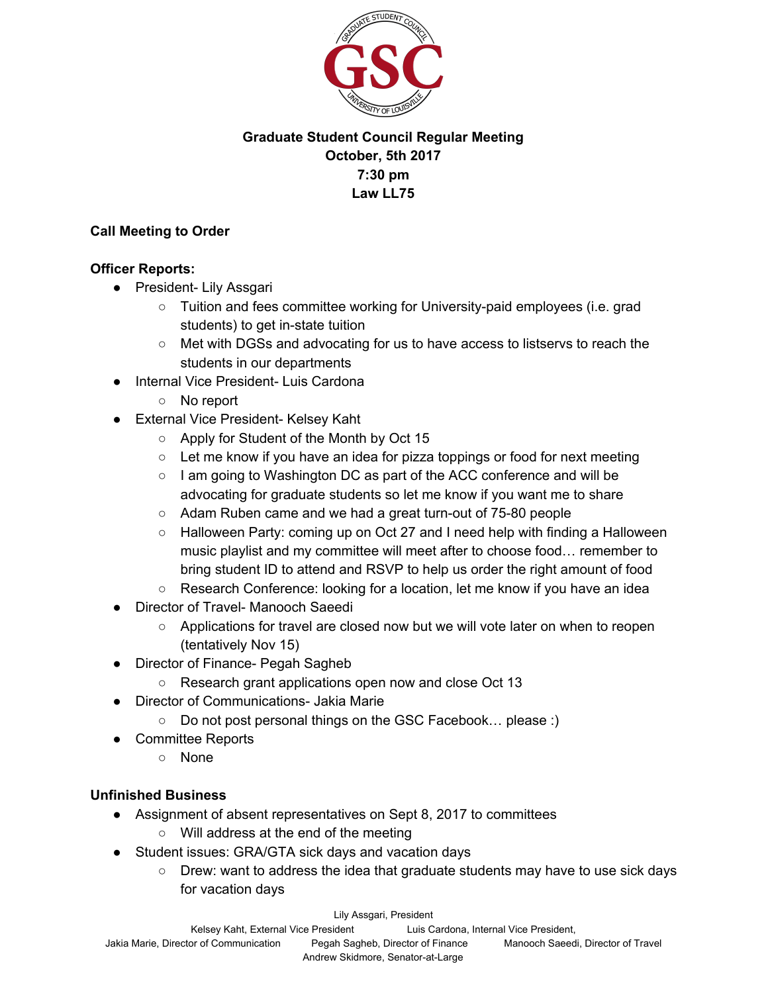

# **Graduate Student Council Regular Meeting October, 5th 2017 7:30 pm Law LL75**

## **Call Meeting to Order**

#### **Officer Reports:**

- President- Lily Assgari
	- Tuition and fees committee working for University-paid employees (i.e. grad students) to get in-state tuition
	- Met with DGSs and advocating for us to have access to listservs to reach the students in our departments
- **Internal Vice President- Luis Cardona** 
	- No report
- External Vice President- Kelsey Kaht
	- Apply for Student of the Month by Oct 15
	- $\circ$  Let me know if you have an idea for pizza toppings or food for next meeting
	- I am going to Washington DC as part of the ACC conference and will be advocating for graduate students so let me know if you want me to share
	- Adam Ruben came and we had a great turn-out of 75-80 people
	- $\circ$  Halloween Party: coming up on Oct 27 and I need help with finding a Halloween music playlist and my committee will meet after to choose food… remember to bring student ID to attend and RSVP to help us order the right amount of food
	- Research Conference: looking for a location, let me know if you have an idea
- **Director of Travel- Manooch Saeedi** 
	- Applications for travel are closed now but we will vote later on when to reopen (tentatively Nov 15)
- **Director of Finance- Pegah Sagheb** 
	- Research grant applications open now and close Oct 13
- Director of Communications- Jakia Marie
	- Do not post personal things on the GSC Facebook… please :)
- Committee Reports
	- None

## **Unfinished Business**

- Assignment of absent representatives on Sept 8, 2017 to committees
	- Will address at the end of the meeting
- Student issues: GRA/GTA sick days and vacation days
	- Drew: want to address the idea that graduate students may have to use sick days for vacation days

Lily Assgari, President